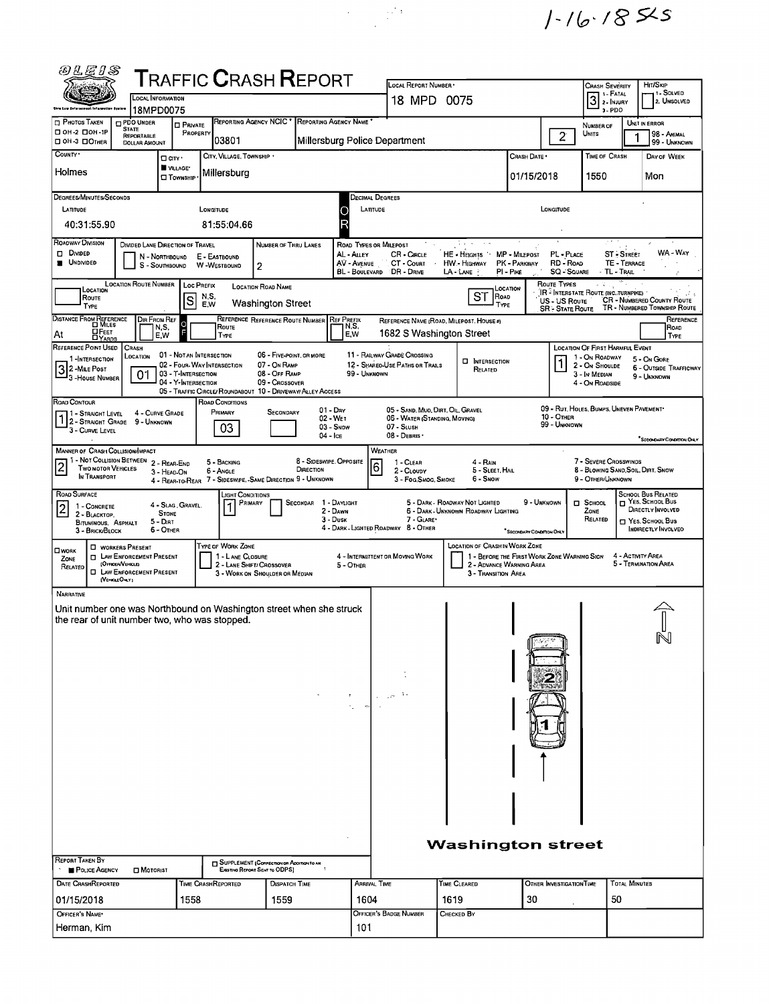$1 - 16.185$ 

| ตแะกล                                                                                                                                                                                                     |                                                                                                                                    |                                            |                                                                                           |                                                                                                   |                                               |                                                                                                                                                                                                                                                              |                                                                                                                                                                                                                                                                                                                           |                                                         |              |                              |                                                          |                                       |                                              |  |  |  |  |  |
|-----------------------------------------------------------------------------------------------------------------------------------------------------------------------------------------------------------|------------------------------------------------------------------------------------------------------------------------------------|--------------------------------------------|-------------------------------------------------------------------------------------------|---------------------------------------------------------------------------------------------------|-----------------------------------------------|--------------------------------------------------------------------------------------------------------------------------------------------------------------------------------------------------------------------------------------------------------------|---------------------------------------------------------------------------------------------------------------------------------------------------------------------------------------------------------------------------------------------------------------------------------------------------------------------------|---------------------------------------------------------|--------------|------------------------------|----------------------------------------------------------|---------------------------------------|----------------------------------------------|--|--|--|--|--|
| ${\sf T}$ RAFFIC ${\sf C}$ RASH ${\sf R}$ EPORT<br><b>LOCAL INFORMATION</b>                                                                                                                               |                                                                                                                                    |                                            |                                                                                           |                                                                                                   |                                               |                                                                                                                                                                                                                                                              | LOCAL REPORT NUMBER ·<br>18 MPD 0075                                                                                                                                                                                                                                                                                      |                                                         |              | <b>CRASH SEVERITY</b><br>3   |                                                          | Hrt/Skip<br>1 - Solved<br>2. UNSOLVED |                                              |  |  |  |  |  |
| <b>Onio Law Enforcement Infarmation Bystom</b><br>PHOTOS TAKEN                                                                                                                                            | 18MPD0075<br>PDO UNDER                                                                                                             | <b>O PRIVATE</b>                           |                                                                                           |                                                                                                   | REPORTING AGENCY NCIC * REPORTING AGENCY NAME |                                                                                                                                                                                                                                                              |                                                                                                                                                                                                                                                                                                                           |                                                         |              | $3 - PDO$<br>NUMBER OF       |                                                          | UNIT IN ERROR                         |                                              |  |  |  |  |  |
| □ ОН-2 □ ОН-1Р<br>OH-3 DOTHER                                                                                                                                                                             | <b>STATE</b><br>REPORTABLE<br><b>DOLLAR AMOUNT</b>                                                                                 | PROPERTY                                   | 03801                                                                                     |                                                                                                   |                                               |                                                                                                                                                                                                                                                              | Millersburg Police Department                                                                                                                                                                                                                                                                                             |                                                         |              | $\overline{2}$               | Units                                                    |                                       | 98 - Animal<br>99 - UNKNOWN                  |  |  |  |  |  |
| COUNTY *                                                                                                                                                                                                  | $\Box$ CITY '                                                                                                                      | VILLAGE*                                   | CITY, VILLAGE, TOWNSHIP .                                                                 |                                                                                                   |                                               |                                                                                                                                                                                                                                                              |                                                                                                                                                                                                                                                                                                                           |                                                         | CRASH DATE * |                              | TIME OF CRASH                                            |                                       | DAY OF WEEK                                  |  |  |  |  |  |
| Holmes                                                                                                                                                                                                    |                                                                                                                                    | <b>CI TOWNSHIP</b>                         | Millersburg                                                                               |                                                                                                   |                                               |                                                                                                                                                                                                                                                              |                                                                                                                                                                                                                                                                                                                           |                                                         | 01/15/2018   |                              | 1550                                                     |                                       | Mon                                          |  |  |  |  |  |
| DEGREES/MINUTES/SECONDS                                                                                                                                                                                   |                                                                                                                                    |                                            |                                                                                           |                                                                                                   |                                               |                                                                                                                                                                                                                                                              | Decimal Degrees                                                                                                                                                                                                                                                                                                           |                                                         |              |                              |                                                          |                                       |                                              |  |  |  |  |  |
| LATITUDE<br>40:31:55.90                                                                                                                                                                                   |                                                                                                                                    |                                            | LONGITUDE<br>81:55:04.66                                                                  |                                                                                                   |                                               |                                                                                                                                                                                                                                                              | LATITUDE<br>LONGITUDE                                                                                                                                                                                                                                                                                                     |                                                         |              |                              |                                                          |                                       |                                              |  |  |  |  |  |
| ROADWAY DIVISION                                                                                                                                                                                          | DIVIDED LANE DIRECTION OF TRAVEL                                                                                                   |                                            |                                                                                           | NUMBER OF THRU LANES                                                                              |                                               |                                                                                                                                                                                                                                                              | ROAD TYPES OR MILEPOST                                                                                                                                                                                                                                                                                                    | $\sim$ $\sim$<br>A. S. M                                |              |                              |                                                          |                                       |                                              |  |  |  |  |  |
| Divided<br><b>UNDIVIDED</b>                                                                                                                                                                               | N - Northbound<br>S - Southbound                                                                                                   |                                            | E - EASTBOUND<br>W-WESTBOUND                                                              | 2                                                                                                 | AL - ALLEY<br>AV - AVENUE<br>BL - BOULEVARD   | WA - Way<br>MP - MILEPOST<br><b>ST - STREET</b><br>CR - CIRCLE<br>HE - HEIGHTS<br>PL - PLACE<br>CT - Count<br><b>HW - HIGHWAY</b><br>RD - ROAD<br>TE - TERRACE<br>PK - PARKWAY<br><b>SQ - SQUARE</b><br>DR - DRIVE<br>LA - Lane<br>PI - Pike<br>- TL - Trail |                                                                                                                                                                                                                                                                                                                           |                                                         |              |                              |                                                          |                                       |                                              |  |  |  |  |  |
| LOCATION<br>Route                                                                                                                                                                                         | <b>LOCATION ROUTE NUMBER</b>                                                                                                       | <b>Loc PREFIX</b><br>S                     | N,S,                                                                                      | LOCATION ROAD NAME                                                                                |                                               |                                                                                                                                                                                                                                                              |                                                                                                                                                                                                                                                                                                                           | ST<br>ROAD                                              | Location     | ROUTE TYPES<br>US - US Route | <b>IR - INTERSTATE ROUTE (INC. TURNPIKE)</b>             |                                       | <b>CR - NUMBERED COUNTY ROUTE</b>            |  |  |  |  |  |
| TYPE<br>DISTANCE FROM REFERENCE                                                                                                                                                                           | DIR FROM REF                                                                                                                       |                                            | E,W                                                                                       | <b>Washington Street</b>                                                                          | REFERENCE REFERENCE ROUTE NUMBER REF PREFIX   |                                                                                                                                                                                                                                                              |                                                                                                                                                                                                                                                                                                                           | <b>TYPE</b><br>REFERENCE NAME (ROAD, MILEPOST, HOUSE #) |              | <b>SR - STATE ROUTE</b>      |                                                          |                                       | TR - NUMBERED TOWNSHIP ROUTE<br>REFERENCE    |  |  |  |  |  |
| <b>DFEET</b><br>At                                                                                                                                                                                        | N,S.<br>E,W                                                                                                                        |                                            | ROUTE<br>TYPE                                                                             |                                                                                                   |                                               | N,S,<br>E,W                                                                                                                                                                                                                                                  | 1682 S Washington Street                                                                                                                                                                                                                                                                                                  |                                                         |              |                              |                                                          |                                       | ROAD<br>TYPE                                 |  |  |  |  |  |
| REFERENCE POINT USED<br>1-INTERSECTION                                                                                                                                                                    | <b>CRASH</b><br>LOCATION                                                                                                           | 01 - NOT AN INTERSECTION                   |                                                                                           | 06 - FIVE-POINT, OR MORE                                                                          |                                               |                                                                                                                                                                                                                                                              | 11 - RAILWAY GRADE CROSSING                                                                                                                                                                                                                                                                                               | <b>D</b> INTERSECTION                                   |              |                              | <b>LOCATION OF FIRST HARMFUL EVENT</b><br>1 - On ROADWAY |                                       | 5 - On GORE                                  |  |  |  |  |  |
| 32-MILE POST<br>-HOUSE NUMBER                                                                                                                                                                             | 01                                                                                                                                 | 03 - T-INTERSECTION<br>04 - Y-INTERSECTION | 02 - Four-Way Intersection<br>05 - TRAFFIC CIRCLE/ ROUNDABOUT 10 - DRIVEWAY/ ALLEY ACCESS | 07 - On RAMP<br>08 - OFF RAMP<br>09 - Crossover                                                   |                                               | 99 - UNKNOWN                                                                                                                                                                                                                                                 | 12 - SHAREO USE PATHS OR TRAILS                                                                                                                                                                                                                                                                                           | RELATED                                                 |              |                              | 2 - On Shoulde<br>3 - In MEDIAN<br>4 - On ROADSIDE       |                                       | <b>6 - OUTSIDE TRAFFICWAY</b><br>9 - UNKNOWN |  |  |  |  |  |
| ROAD CONTOUR                                                                                                                                                                                              | 4 - CURVE GRADE                                                                                                                    |                                            | ROAD CONDITIONS<br>PRIMARY                                                                | SECONDARY                                                                                         | $01 - \text{Dny}$                             |                                                                                                                                                                                                                                                              | 09 - RUT, HOLES, BUMPS, UNEVEN PAVEMENT*<br>05 - SAND, MUO, DIRT, OIL, GRAVEL                                                                                                                                                                                                                                             |                                                         |              |                              |                                                          |                                       |                                              |  |  |  |  |  |
| 1 - STRAIGHT LEVEL<br>1 2- STRAIGHT GRADE 9 - UNKNOWN<br>3 - CURVE LEVEL                                                                                                                                  |                                                                                                                                    |                                            | 03                                                                                        |                                                                                                   | 02 - WET<br>03 - Snow<br>04 - ICE             |                                                                                                                                                                                                                                                              | 10 - Отнея<br>06 - WATER (STANDING, MOVING)<br>99 - UNKNOWN<br>07 - SLUSH<br>08 - DEBRIS ·<br><sup>*</sup> SECONDARY CONDITION ONLY                                                                                                                                                                                       |                                                         |              |                              |                                                          |                                       |                                              |  |  |  |  |  |
| MANNER OF CRASH COLLISION/IMPACT                                                                                                                                                                          | 1 - Not Collision Between 2 - Rear-End                                                                                             |                                            | 5 - BACKING                                                                               |                                                                                                   | 8 - SIDESWIPE. OPPOSITE                       |                                                                                                                                                                                                                                                              | WEATHER<br>1 - CLEAR                                                                                                                                                                                                                                                                                                      | $4 - R$ AIN                                             |              |                              | 7 - SEVERE CROSSWINDS                                    |                                       |                                              |  |  |  |  |  |
| $\overline{2}$<br>TWO MOTOR VEHICLES<br>IN TRANSPORT                                                                                                                                                      | 3 - HEAD-ON                                                                                                                        |                                            | 6 - ANCLE<br>4 - REAR-TO-REAR 7 - SIDESWIPE. - SAME DIRECTION 9 - UNKNOWN                 |                                                                                                   | DIRECTION                                     |                                                                                                                                                                                                                                                              | 6<br>2 - CLOUDY<br>3 - Fog.Smog. Smoke                                                                                                                                                                                                                                                                                    | 5 - SLEET, HAIL<br>6 - Snow                             |              |                              | 8 - BLOWING SAND, SOIL, DIRT, SNOW<br>9 - OTHER/UNKNOWN  |                                       |                                              |  |  |  |  |  |
| ROAD SURFACE<br>1 - CONCRETE<br>2<br>2 - BLACKTOP,<br>BITUMINOUS, ASPHALT<br>3 - BRICK/BLOCK                                                                                                              | <b>STONE</b><br>5 - Dirt<br>6 - Other                                                                                              | 4 - Slag, Gravel.                          | Light Conditions<br>PRIMARY                                                               |                                                                                                   | SECONDAR 1 - DAYLIGHT<br>3 - Dusk             | 2 - DAWN                                                                                                                                                                                                                                                     | <b>SCHOOL BUS RELATED</b><br>NES. SCHOOL BUS<br>9 - UNKNOWN<br>5 - DARK - ROADWAY NOT LIGHTED<br>$\Box$ School<br>DIRECTLY INVOLVED<br>6 - DARK - UNKNOWN ROADWAY LIGHTING<br>ZONE<br>7 - GLARE*<br>RELATED<br>YES. SCHOOL BUS<br>4 - DARK - LIGHTED ROADWAY 8 - OTHER<br>INDIRECTLY INVOLVED<br>SECONDARY CONDITION ONLY |                                                         |              |                              |                                                          |                                       |                                              |  |  |  |  |  |
| <b>CI WORK</b><br>ZONE<br>RELATED                                                                                                                                                                         | <b>U</b> WORKERS PRESENT<br><b>D</b> LAW ENFORCEMENT PRESENT<br>(Officen/Vercle)<br><b>D</b> LAW ENFORCEMENT PRESENT<br>(VERGEORY) |                                            | <b>TYPE OF WORK ZONE</b><br>1 - LANE CLOSURE                                              | 2 - LANE SHIFT/ CROSSOVER<br>3 - WORK ON SHOULDER OR MEDIAN                                       |                                               | 5 - OTHER                                                                                                                                                                                                                                                    | <b>LOCATION OF CRASH IN WORK ZONE</b><br>4 - ACTIVITY AREA<br>4 - INTERMITTENT OR MOVING WORK<br>1 - BEFORE THE FIRST WORK ZONE WARNING SIGN<br>5 - TERMINATION AREA<br>2 - ADVANCE WARNING AREA<br>3 - TRANSITION AREA                                                                                                   |                                                         |              |                              |                                                          |                                       |                                              |  |  |  |  |  |
| NARRATIVE<br>Unit number one was Northbound on Washington street when she struck<br>the rear of unit number two, who was stopped.<br>REPORT TAKEN BY<br><b>POLICE AGENCY</b><br><b>DATE CRASHREPORTED</b> | <b>D</b> MOTORIST                                                                                                                  |                                            | Time CrashReported                                                                        | SUPPLEMENT (CORRECTION OF ADDITION TO AN<br>EXISTING REPORT SENT TO ODPS)<br><b>DISPATCH TIME</b> |                                               | $\mathbf{r}$<br>$\mathcal{F}_{\mathbf{a}}$ .                                                                                                                                                                                                                 | والمستردين<br>ARRIVAL TIME                                                                                                                                                                                                                                                                                                | <b>Washington street</b><br>TIME CLEARED                |              | OTHER INVESTIGATION TIME     |                                                          | <b>TOTAL MINUTES</b>                  | N                                            |  |  |  |  |  |
| 01/15/2018                                                                                                                                                                                                |                                                                                                                                    | 1558                                       |                                                                                           | 1559                                                                                              |                                               | 1604                                                                                                                                                                                                                                                         |                                                                                                                                                                                                                                                                                                                           | 1619                                                    | 30           |                              |                                                          | 50                                    |                                              |  |  |  |  |  |
| OFFICER'S NAME*<br>Herman, Kim                                                                                                                                                                            |                                                                                                                                    |                                            |                                                                                           |                                                                                                   |                                               | 101                                                                                                                                                                                                                                                          | OFFICER'S BADGE NUMBER                                                                                                                                                                                                                                                                                                    | CHECKED BY                                              |              |                              |                                                          |                                       |                                              |  |  |  |  |  |

 $\label{eq:2} \begin{split} \mathcal{A}^{(1)} &= \mathcal{A}^{(1)} \mathcal{A}^{(1)} \end{split}$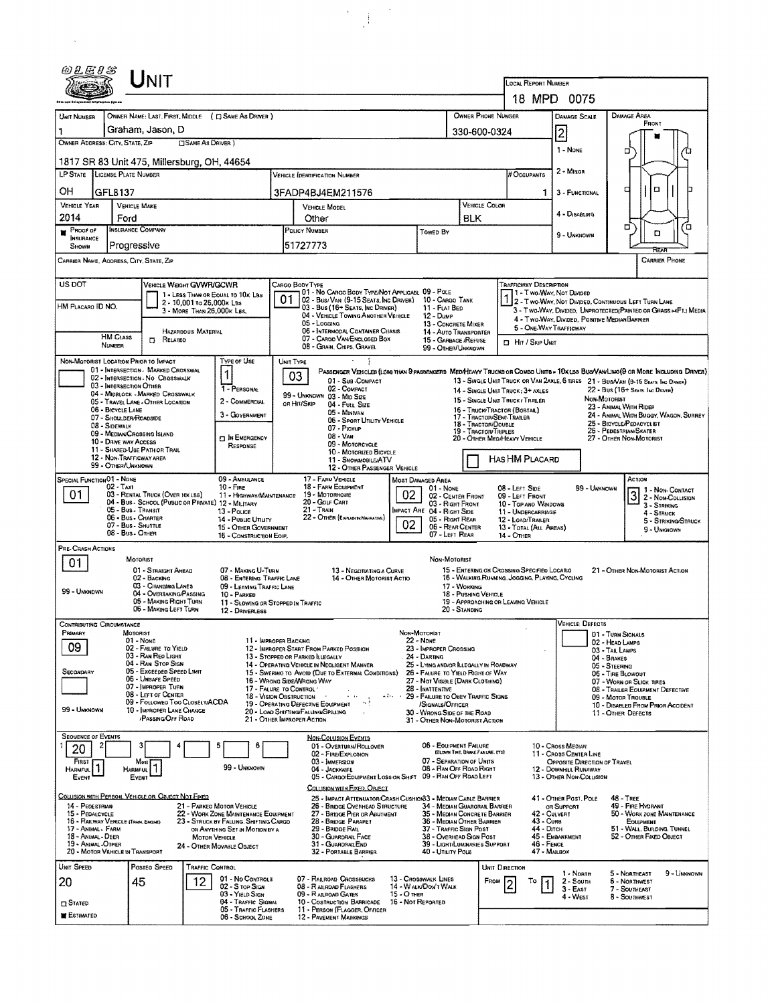| 0LEIS                                                                           |                                             | UNIT                                                                  |                                                         |                                                                                |                                                                                                |                                                                                                                                                          |                                                                                                                        |                                                    |                                                            |                                                           |                                                                                                                           |                                                         |                                                         |                                                                                                                              |  |  |  |
|---------------------------------------------------------------------------------|---------------------------------------------|-----------------------------------------------------------------------|---------------------------------------------------------|--------------------------------------------------------------------------------|------------------------------------------------------------------------------------------------|----------------------------------------------------------------------------------------------------------------------------------------------------------|------------------------------------------------------------------------------------------------------------------------|----------------------------------------------------|------------------------------------------------------------|-----------------------------------------------------------|---------------------------------------------------------------------------------------------------------------------------|---------------------------------------------------------|---------------------------------------------------------|------------------------------------------------------------------------------------------------------------------------------|--|--|--|
|                                                                                 |                                             |                                                                       |                                                         |                                                                                |                                                                                                |                                                                                                                                                          |                                                                                                                        |                                                    |                                                            | LOCAL REPORT NUMBER                                       |                                                                                                                           |                                                         |                                                         |                                                                                                                              |  |  |  |
|                                                                                 |                                             |                                                                       |                                                         |                                                                                |                                                                                                | 18 MPD 0075                                                                                                                                              |                                                                                                                        |                                                    |                                                            |                                                           |                                                                                                                           |                                                         |                                                         |                                                                                                                              |  |  |  |
| UNIT NUMBER                                                                     |                                             |                                                                       |                                                         | OWNER NAME: LAST, FIRST, MIDDLE ( C SAME AS DRIVER )                           |                                                                                                |                                                                                                                                                          |                                                                                                                        |                                                    |                                                            | OWNER PHONE NUMBER                                        |                                                                                                                           | <b>DAMAGE SCALE</b>                                     | DAMAGE AREA<br>FRONT                                    |                                                                                                                              |  |  |  |
| OWNER ADDRESS: CITY, STATE, ZIP                                                 |                                             | Graham, Jason, D                                                      | <b>SAME AS DRIVER )</b>                                 |                                                                                |                                                                                                |                                                                                                                                                          |                                                                                                                        |                                                    |                                                            | 330-600-0324                                              |                                                                                                                           | 2                                                       |                                                         |                                                                                                                              |  |  |  |
|                                                                                 |                                             |                                                                       |                                                         |                                                                                |                                                                                                |                                                                                                                                                          |                                                                                                                        |                                                    |                                                            |                                                           |                                                                                                                           | 1 - NONE                                                |                                                         | о                                                                                                                            |  |  |  |
|                                                                                 |                                             | 1817 SR 83 Unit 475, Millersburg, OH, 44654                           |                                                         |                                                                                |                                                                                                |                                                                                                                                                          |                                                                                                                        |                                                    |                                                            |                                                           |                                                                                                                           | 2 - MINOR                                               |                                                         |                                                                                                                              |  |  |  |
| LP STATE LICENSE PLATE NUMBER                                                   |                                             |                                                                       |                                                         |                                                                                |                                                                                                | Vehicle (dentification Number                                                                                                                            |                                                                                                                        |                                                    |                                                            |                                                           | # Occupants                                                                                                               |                                                         |                                                         |                                                                                                                              |  |  |  |
| OН                                                                              | GFL8137                                     |                                                                       |                                                         |                                                                                |                                                                                                | 3FADP4BJ4EM211576                                                                                                                                        |                                                                                                                        |                                                    |                                                            |                                                           | 1                                                                                                                         | 3 - FUNCTIONAL                                          |                                                         | O<br>о                                                                                                                       |  |  |  |
| <b>VEHICLE YEAR</b><br>2014                                                     | Ford                                        | <b>VEHICLE MAKE</b>                                                   |                                                         |                                                                                | <b>VEHICLE MODEL</b><br>Other                                                                  |                                                                                                                                                          |                                                                                                                        |                                                    | BLK                                                        | VEHICLE COLOR                                             |                                                                                                                           | 4 - DISABLING                                           |                                                         |                                                                                                                              |  |  |  |
| PROOF OF                                                                        |                                             | <b>INSURANCE COMPANY</b>                                              |                                                         |                                                                                |                                                                                                | POLICY NUMBER                                                                                                                                            |                                                                                                                        | <b>TOWED BY</b>                                    |                                                            |                                                           |                                                                                                                           |                                                         |                                                         | O<br>Έ<br>D                                                                                                                  |  |  |  |
| <b>INSURANCE</b><br><b>SHOWN</b>                                                |                                             | Progressive                                                           |                                                         |                                                                                |                                                                                                | 51727773                                                                                                                                                 |                                                                                                                        |                                                    |                                                            |                                                           |                                                                                                                           | 9 - UNKNOWN                                             |                                                         | REE                                                                                                                          |  |  |  |
| CARRIER NAME, ADDRESS, CITY, STATE, ZIP                                         |                                             |                                                                       |                                                         |                                                                                |                                                                                                |                                                                                                                                                          |                                                                                                                        |                                                    |                                                            |                                                           |                                                                                                                           |                                                         |                                                         | <b>CARRIER PHONE</b>                                                                                                         |  |  |  |
| US DOT<br>VEHICLE WEIGHT GVWR/GCWR<br>Cargo Body Type<br>Trafficway Description |                                             |                                                                       |                                                         |                                                                                |                                                                                                |                                                                                                                                                          |                                                                                                                        |                                                    |                                                            |                                                           |                                                                                                                           |                                                         |                                                         |                                                                                                                              |  |  |  |
|                                                                                 |                                             |                                                                       |                                                         | 1 - LESS THAN OR EQUAL TO 10K LBS                                              | 01                                                                                             | 01 - No CARGO BODY TYPE/NOT APPLICABL 09 - POLE                                                                                                          |                                                                                                                        |                                                    |                                                            |                                                           |                                                                                                                           | 1 - Two-Way, Not Divided                                |                                                         |                                                                                                                              |  |  |  |
| HM PLACARO ID NO.                                                               |                                             |                                                                       | 2 - 10,001 to 26,000x LBs<br>3 - MORE THAN 26,000K LBS. |                                                                                |                                                                                                | 02 - Bus/Van (9-15 Seats, Inc Driver)<br>03 - Bus (16+ Seats, Inc Driver)                                                                                |                                                                                                                        | 10 - CARGO TANK<br>11 - FLAT BED                   |                                                            |                                                           |                                                                                                                           | 2 - Two-Way, Not Divided, Continuous Left Turn Lane     |                                                         | 3 - Two-Way, Divided, Unprotected(Painted or Grass>4FT.) Media                                                               |  |  |  |
|                                                                                 |                                             |                                                                       |                                                         |                                                                                |                                                                                                | 04 - VEHICLE TOWING ANOTHER VEHICLE<br>05 - Logging                                                                                                      |                                                                                                                        | $12 - D$ <sub>UMP</sub><br>13 - CONCRETE MIXER     |                                                            |                                                           | 5 - ONE WAY TRAFFICWAY                                                                                                    | 4 - Two-Way, Divided, Positive Median Barrier           |                                                         |                                                                                                                              |  |  |  |
|                                                                                 | <b>HM CLASS</b>                             | 0<br>RELATED                                                          | HAZARDOUS MATERIAL                                      |                                                                                |                                                                                                | 06 - INTERMODAL CONTAINER CHASIS<br>07 - CARGO VAN/ENCLOSED BOX                                                                                          |                                                                                                                        | 14 - Auto Transporter<br>15 - GARBAGE /REFUSE      |                                                            |                                                           | <b>D</b> Hit / Skip Unit                                                                                                  |                                                         |                                                         |                                                                                                                              |  |  |  |
|                                                                                 | NUMBER                                      |                                                                       |                                                         |                                                                                |                                                                                                | 08 - Grain, Chips, Gravel                                                                                                                                |                                                                                                                        | 99 - OTHER/UNKNOWN                                 |                                                            |                                                           |                                                                                                                           |                                                         |                                                         |                                                                                                                              |  |  |  |
| NON-MOTORIST LOCATION PRIOR TO IMPACT                                           |                                             | 01 - INTERSECTION - MARKED CROSSWAL                                   |                                                         | TYPE OF USE<br>1                                                               |                                                                                                | UNIT TYPE                                                                                                                                                |                                                                                                                        |                                                    |                                                            |                                                           |                                                                                                                           |                                                         |                                                         | PASSENGER VEHICLES (LESS THAN 9 PASSENGERS MEDINEARY TRUCKS OR COMBO UNITS > 10KLBS BUS/VAN/LIMO(9 OR MORE INCLUDING DRIVER) |  |  |  |
|                                                                                 | 03 - INTERSECTION OTHER                     | 02 - INTERSECTION - NO CROSSWALK                                      |                                                         | 1 - PERSONAL                                                                   |                                                                                                | 03<br>01 - Sub-COMPACT<br>02 - COMPACT                                                                                                                   |                                                                                                                        |                                                    |                                                            |                                                           |                                                                                                                           |                                                         |                                                         | 13 - SINGLE UNIT TRUCK OR VAN 2AXLE, 6 TIRES 21 - BUS/VAN (9-15 SEATS, INC DRAWS)                                            |  |  |  |
|                                                                                 |                                             | 04 - MIDBLOCK - MARKED CROSSWALK<br>05 - TRAVEL LANE - OTHER LOCATION |                                                         | 2 - COMMERCIAL                                                                 |                                                                                                | 99 - UNKNOWN 03 - MID SIZE<br>OR HIT/SKIP<br>04 - FULL SIZE                                                                                              |                                                                                                                        |                                                    |                                                            |                                                           | 22 - Bus (16+ Seats, Inc Driver)<br>14 - SINGLE UNIT TRUCK : 3+ AXLES<br>Non Motorist<br>15 - SINGLE UNIT TRUCK / TRAILER |                                                         |                                                         |                                                                                                                              |  |  |  |
|                                                                                 | 06 - BICYCLE LANE<br>07 - SHOULDER/ROADSIDE |                                                                       |                                                         | 3 - GOVERNMENT                                                                 |                                                                                                | 05 - MINIVAN                                                                                                                                             |                                                                                                                        |                                                    |                                                            | 16 - Truck/Tractor (Bobtail)<br>17 - TRACTOR/SEMI-TRAILER |                                                                                                                           |                                                         |                                                         | 23 - ANIMAL WITH RIDER<br>24 - ANIMAL WITH BUGGY, WAGON, SURREY                                                              |  |  |  |
|                                                                                 | 08 - Sidewalk                               | 09 - MEDIAN/CROSSING ISLAND                                           |                                                         |                                                                                |                                                                                                | 06 - SPORT UTILITY VEHICLE<br>07 - Pickup                                                                                                                |                                                                                                                        | 18 - Tractor/Double<br><b>19 - TRACTOR/TRIPLES</b> |                                                            |                                                           |                                                                                                                           | 25 - BICYCLE/PEDACYCLIST<br>26 - PEDESTRIAN/SKATER      |                                                         |                                                                                                                              |  |  |  |
|                                                                                 | 10 - DRIVE WAY ACCESS                       |                                                                       |                                                         | <b>DIN EMERGENCY</b><br>RESPONSE                                               |                                                                                                | $08 - VAN$<br>09 - MOTORCYCLE                                                                                                                            |                                                                                                                        | 20 - OTHER MED/HEAVY VEHICLE                       |                                                            |                                                           |                                                                                                                           |                                                         | 27 - OTHER NON-MOTORIST                                 |                                                                                                                              |  |  |  |
| 11 - SHARED-USE PATH OR TRAIL<br>12 - NON-TRAFFICWAY AREA                       |                                             |                                                                       |                                                         |                                                                                |                                                                                                | 10 - MOTORIZED BICYCLE<br>11 - SNOWMOBILE/ATV                                                                                                            |                                                                                                                        |                                                    |                                                            |                                                           | HAS HM PLACARD                                                                                                            |                                                         |                                                         |                                                                                                                              |  |  |  |
| <b>SPECIAL FUNCTION 01 - NONE</b>                                               | 99 - OTHER/UNKNOWN                          |                                                                       |                                                         | 09 - AMBULANCE                                                                 | 12 - OTHER PASSENGER VEHICLE<br>17 - FARM VEHICLE<br><b>MOST DAMAGED AREA</b>                  |                                                                                                                                                          |                                                                                                                        |                                                    |                                                            |                                                           |                                                                                                                           |                                                         |                                                         | Астюн                                                                                                                        |  |  |  |
|                                                                                 | $02 - TAT$                                  | 03 - RENTAL TRUCK (OVER 10K LBS)                                      |                                                         | $10 -$ Fine                                                                    |                                                                                                | 18 - FARM EQUIPMENT<br>19 - Мотовноме                                                                                                                    |                                                                                                                        | 01 - NONE                                          |                                                            |                                                           | 08 - LEFT SIDE                                                                                                            | 99 - Unknown                                            |                                                         | 1 - Non-Contact                                                                                                              |  |  |  |
| 01                                                                              |                                             | 04 - Bus - School (Public or Private) 12 - MILITARY                   |                                                         | 11 - HIGHWAY/MAINTENANCE                                                       | 20 - Colf CART<br>21 - TRAIN<br>MPACT ARE 04 - RIGHT SIDE<br>22 - OTHER (EXPLANDINATIVE)<br>02 |                                                                                                                                                          |                                                                                                                        |                                                    | 02 - CENTER FRONT<br>03 - Right Front                      |                                                           | 09 - LEFT FRONT<br>10 - Top and Windows                                                                                   |                                                         |                                                         | 3 2 - Non-Collision<br>3 - STRIKING                                                                                          |  |  |  |
|                                                                                 | 05 - Bus - Transit                          | 06 - Bus - Charter                                                    |                                                         | 13 - Pouce<br>14 - Public Unuty                                                |                                                                                                |                                                                                                                                                          |                                                                                                                        |                                                    | 11 - UNDERCARRIAGE<br>05 - RIGHT REAR<br>12 - LOAD/TRAILER |                                                           |                                                                                                                           |                                                         |                                                         | 4 - Struck<br>5 - Striking/Struck                                                                                            |  |  |  |
|                                                                                 | 07 - Bus - SHUTTLE<br>08 - Bus - OTHER      |                                                                       |                                                         | 15 - OTHER GOVERNMENT<br>16 - CONSTRUCTION EOIP.                               |                                                                                                |                                                                                                                                                          | 06 - REAR CENTER<br>07 - LEFT REAR                                                                                     |                                                    | <b>14 - OTHER</b>                                          | 13 - TOTAL (ALL AREAS)                                    |                                                                                                                           |                                                         | 9 - Unknown                                             |                                                                                                                              |  |  |  |
| PRE-CRASH ACTIONS                                                               |                                             |                                                                       |                                                         |                                                                                |                                                                                                |                                                                                                                                                          |                                                                                                                        |                                                    |                                                            |                                                           |                                                                                                                           |                                                         |                                                         |                                                                                                                              |  |  |  |
| 01                                                                              |                                             | MOTORIST<br>01 - STRAIGHT AHEAD                                       |                                                         | 07 - MAKING U-TURN                                                             |                                                                                                | 13 - Negotiating a Curve                                                                                                                                 |                                                                                                                        | NON-MOTORIST                                       |                                                            |                                                           | 15 - ENTERING OR CROSSING SPECIFIED LOCATIO<br>21 - OTHER NON-MOTORIST ACTION                                             |                                                         |                                                         |                                                                                                                              |  |  |  |
|                                                                                 |                                             | 02 - BACKING<br>03 - CHANGING LANES                                   |                                                         | 08 - ENTERING TRAFFIC LANE                                                     |                                                                                                | 14 - OTHER MOTORIST ACTIO                                                                                                                                |                                                                                                                        |                                                    |                                                            |                                                           | 16 - WALKING RUNNING, JOGGING, PLAYING, CYCLING                                                                           |                                                         |                                                         |                                                                                                                              |  |  |  |
| 99 - Unknown                                                                    |                                             | 04 - OVERTAKING/PASSING                                               |                                                         | 09 - LEAVING TRAFFIC LANE<br>10 - PARKED                                       |                                                                                                |                                                                                                                                                          |                                                                                                                        | 17 - WORKING<br>18 - Pushing Vehicle               |                                                            |                                                           |                                                                                                                           |                                                         |                                                         |                                                                                                                              |  |  |  |
|                                                                                 |                                             | 05 - MAKING RIGHT TURN<br>06 - MAKING LEFT TURN                       |                                                         | 11 - SLOWING OR STOPPED IN TRAFFIC<br>12 - DRIVERLESS                          |                                                                                                |                                                                                                                                                          |                                                                                                                        | 20 - STANDING                                      |                                                            | 19 - APPROACHING OR LEAVING VEHICLE                       |                                                                                                                           |                                                         |                                                         |                                                                                                                              |  |  |  |
| <b>CONTRIBUTING CIRCUMSTANCE</b>                                                |                                             |                                                                       |                                                         |                                                                                |                                                                                                |                                                                                                                                                          |                                                                                                                        |                                                    |                                                            |                                                           |                                                                                                                           | VEHICLE DEFECTS                                         |                                                         |                                                                                                                              |  |  |  |
| PRIMARY                                                                         |                                             | MOTORIST<br>01 - None                                                 |                                                         | 11 - IMPROPER BACKING                                                          |                                                                                                |                                                                                                                                                          | NON-MOTORIST<br>22 - NONE<br>23 - IMPROPER CROSSING                                                                    |                                                    |                                                            |                                                           |                                                                                                                           | 101 - Turn Signals<br>02 - Head Lamps                   |                                                         |                                                                                                                              |  |  |  |
| 09                                                                              |                                             | 02 - FAILURE TO YIELD<br>03 - RAN REO LIGHT                           |                                                         |                                                                                |                                                                                                | 12 - IMPROPER START FROM PARKED POSITION<br>13 - STOPPED OR PARKED LLEGALLY                                                                              |                                                                                                                        |                                                    | 03 - TAIL LAMPS                                            |                                                           |                                                                                                                           |                                                         |                                                         |                                                                                                                              |  |  |  |
| SECONDARY                                                                       |                                             | 04 - RAN STOP SIGN<br>05 - Exceeped Speed LIMIT                       |                                                         |                                                                                |                                                                                                | 14 - OPERATING VEHICLE IN NEGLIGENT MANNER<br>15 - Swering to Avoid (Due to External Conditions)                                                         | 25 - LYING AND/OR ILLEGALLY IN ROADWAY<br>26 - FALURE TO YIELD RIGHT OF WAY                                            |                                                    |                                                            | 04 - BRAKES<br>05 - STEERING<br>06 - TIRE BLOWOUT         |                                                                                                                           |                                                         |                                                         |                                                                                                                              |  |  |  |
|                                                                                 |                                             | 06 - UNSAFE SPEED<br>07 - MPROPER TURN                                |                                                         |                                                                                |                                                                                                | 16 - WRONG SIDE/WRONG WAY                                                                                                                                | 27 - NOT VISIBLE (DARK CLOTHING)                                                                                       |                                                    |                                                            | 07 - WORN OR SLICK TIRES                                  |                                                                                                                           |                                                         |                                                         |                                                                                                                              |  |  |  |
|                                                                                 |                                             | 08 - LEFT OF CENTER<br>09 - FOLLOWEG TOO CLOSELY/ACDA                 |                                                         |                                                                                |                                                                                                | 17 - FALURE TO CONTROL "<br>28 - INATTENTIVE<br>18 - VISION OBSTRUCTION<br>$\mathbf{a}$ is a set<br>29 - FAILURE TO OBEY TRAFFIC SIGNS<br>$1 - 11$<br>当于 |                                                                                                                        |                                                    |                                                            |                                                           |                                                                                                                           | 08 - TRAILER EOUPMENT DEFECTIVE<br>09 - MOTOR TROUBLE   |                                                         |                                                                                                                              |  |  |  |
| 99 - UNKNOWN                                                                    |                                             | 10 - IMPROPER LANE CHANGE<br>/PASSING OFF ROAD                        |                                                         |                                                                                |                                                                                                | 19 - OPERATING DEFECTIVE EQUIPMENT<br>/SIGNALS/OFFICER<br>20 - LOAD SHIFTING/FALLING/SPILLING<br>30 - WRONG SIDE OF THE ROAD                             |                                                                                                                        |                                                    |                                                            |                                                           |                                                                                                                           |                                                         | 10 - DISABLED FROM PRIOR ACCIDENT<br>11 - OTHER DEFECTS |                                                                                                                              |  |  |  |
|                                                                                 |                                             |                                                                       |                                                         |                                                                                |                                                                                                | 21 - OTHER IMPROPER ACTION                                                                                                                               |                                                                                                                        | 31 - OTHER NON-MOTORIST ACTION                     |                                                            |                                                           |                                                                                                                           |                                                         |                                                         |                                                                                                                              |  |  |  |
| <b>SEQUENCE OF EVENTS</b><br>20                                                 |                                             |                                                                       |                                                         | 6                                                                              |                                                                                                | <b>NON-COLLISION EVENTS</b><br>01 - Overturn/Rollover                                                                                                    |                                                                                                                        | 06 - EQUIPMENT FAILURE                             |                                                            |                                                           |                                                                                                                           | 10 - Cross Median                                       |                                                         |                                                                                                                              |  |  |  |
| FIRST                                                                           |                                             | Most                                                                  |                                                         |                                                                                |                                                                                                | 02 - FIRE/EXPLOSION<br>03 - IMMERSION                                                                                                                    | (BLOWN TIRE, BRAKE FAILURE, ETC)<br>11 - Cross Center Line<br>07 - SEPARATION OF UNITS<br>OPPOSITE DIRECTION OF TRAVEL |                                                    |                                                            |                                                           |                                                                                                                           |                                                         |                                                         |                                                                                                                              |  |  |  |
| <b>HARMFUL</b><br>EVENT                                                         |                                             | <b>HARMFUL</b><br>EVENT                                               |                                                         | 99 - Unknown                                                                   |                                                                                                | 04 - JACKKNIFE<br>05 - CARGO/EDUIPMENT LOSS OR SHIFT                                                                                                     |                                                                                                                        | 08 - RAN OFF ROAD RIGHT<br>09 - RAN OFF ROAD LEFT  |                                                            |                                                           |                                                                                                                           | 12 - DOWNHILL RUNAWAY<br><b>13 - OTHER NON-COLUSION</b> |                                                         |                                                                                                                              |  |  |  |
|                                                                                 |                                             |                                                                       |                                                         |                                                                                |                                                                                                | COLLISION WITH FIXED, OBJECT                                                                                                                             |                                                                                                                        |                                                    |                                                            |                                                           |                                                                                                                           |                                                         |                                                         |                                                                                                                              |  |  |  |
| 14 - PEDESTRIAN                                                                 |                                             | COLLISION WITH PERSON, VEHICLE OR OBJECT NOT FIXED                    |                                                         | 21 - PARKEO MOTOR VEHICLE                                                      |                                                                                                | 25 - IMPACT ATTENUATOR/CRASH CUSHION33 - MEDIAN CABLE BARRIER<br>26 - BRIDGE OVERHEAD STRUCTURE                                                          |                                                                                                                        | 34 - MEDIAN GUARORAIL BARRIER                      |                                                            |                                                           |                                                                                                                           | 41 - Other Post, Pole<br>OR SUPPORT                     | 48 - TREE                                               | 49 - FIRE HYDRANT                                                                                                            |  |  |  |
| 15 - PEDALCYCLE<br>16 - RAILWAY VEHICLE (TRAIN, ENGINE)                         |                                             |                                                                       |                                                         | 22 - WORK ZONE MAINTENANCE EQUIPMENT<br>23 - STRUCK BY FALLING, SHIFTING CARGO |                                                                                                | 27 - BRIDGE PIER OR ABUTMENT<br>28 - BRIDGE PARAPET                                                                                                      |                                                                                                                        | 35 - MEDIAN CONCRETE BARRIER                       |                                                            |                                                           | 42 - Culvert<br>43 - Cuns                                                                                                 |                                                         |                                                         | 50 - WORK ZONE MAINTENANCE<br>EOUPMENT                                                                                       |  |  |  |
| 17 - Animal - Farm<br>18 - Animal - DEER                                        |                                             |                                                                       | MOTOR VEHICLE                                           | OR ANYTHING SET IN MOTION BY A                                                 |                                                                                                | 29 - BRIDGE RAIL<br>30 - GUARDRAIL FACE                                                                                                                  | 36 - MEDIAN OTHER BARRIER<br>37 - TRAFFIC SIGN POST<br>38 - Overhead Sign Post                                         |                                                    |                                                            | 44 - Олсн                                                 | 45 - EMBANKMENT                                                                                                           | 51 - WALL, BUILDING, TUNNEL<br>52 - OTHER FIXED OBJECT  |                                                         |                                                                                                                              |  |  |  |
| 19 - ANIMAL OTHER<br>20 - MOTOR VEHICLE IN TRANSPORT                            |                                             |                                                                       |                                                         | 24 - OTHER MOVABLE OBJECT                                                      |                                                                                                | 31 - GUARDRAILEND<br>32 - PORTABLE BARRIER                                                                                                               |                                                                                                                        | 39 - LIGHT/LUMINARIES SUPPORT<br>40 - Utality Pole |                                                            |                                                           | <b>46 - FENCE</b><br>47 - MAILBOX                                                                                         |                                                         |                                                         |                                                                                                                              |  |  |  |
| UNIT SPEED                                                                      |                                             | Posteo Speed                                                          | TRAFFIC CONTROL                                         |                                                                                |                                                                                                |                                                                                                                                                          |                                                                                                                        |                                                    |                                                            | UNIT DIRECTION                                            |                                                                                                                           |                                                         |                                                         |                                                                                                                              |  |  |  |
| 20                                                                              |                                             | 45                                                                    | 12                                                      | 01 - No CONTROLS                                                               |                                                                                                | 07 - RAILROAD CROSSBUCKS                                                                                                                                 |                                                                                                                        | 13 - CROSSWALK LINES                               |                                                            | FROM                                                      | То                                                                                                                        | 1 - NORTH<br>2 - South                                  |                                                         | 5 - Northeast<br>9 - Unknown<br>6 - Northwest                                                                                |  |  |  |
|                                                                                 |                                             |                                                                       |                                                         | 02 - S TOP SIGN<br>03 - YIELD SIGN                                             |                                                                                                | 08 - RAILROAD FLASHERS<br>09 - RAILROAD GATES                                                                                                            | $15 - O$ THER                                                                                                          | 14 - WALK/DON'T WALK                               |                                                            |                                                           |                                                                                                                           | $3 - E$ AST<br>4 - West                                 |                                                         | 7 - SOUTHEAST<br>8 - SOUTHWEST                                                                                               |  |  |  |
| $\square$ Stated<br><b>ESTIMATED</b>                                            |                                             |                                                                       |                                                         | 04 - TRAFFIC SIGNAL<br>05 - TRAFFIC FLASHERS                                   |                                                                                                | 10 - Costruction Barricade<br>11 - PERSON (FLAGGER, OFFICER                                                                                              | 16 - Not Reported                                                                                                      |                                                    |                                                            |                                                           |                                                                                                                           |                                                         |                                                         |                                                                                                                              |  |  |  |
|                                                                                 |                                             |                                                                       |                                                         | 06 - SCHOOL ZONE                                                               |                                                                                                | 12 - PAVEMENT MARKINGS                                                                                                                                   |                                                                                                                        |                                                    |                                                            |                                                           |                                                                                                                           |                                                         |                                                         |                                                                                                                              |  |  |  |

 $\sim 10^{11}$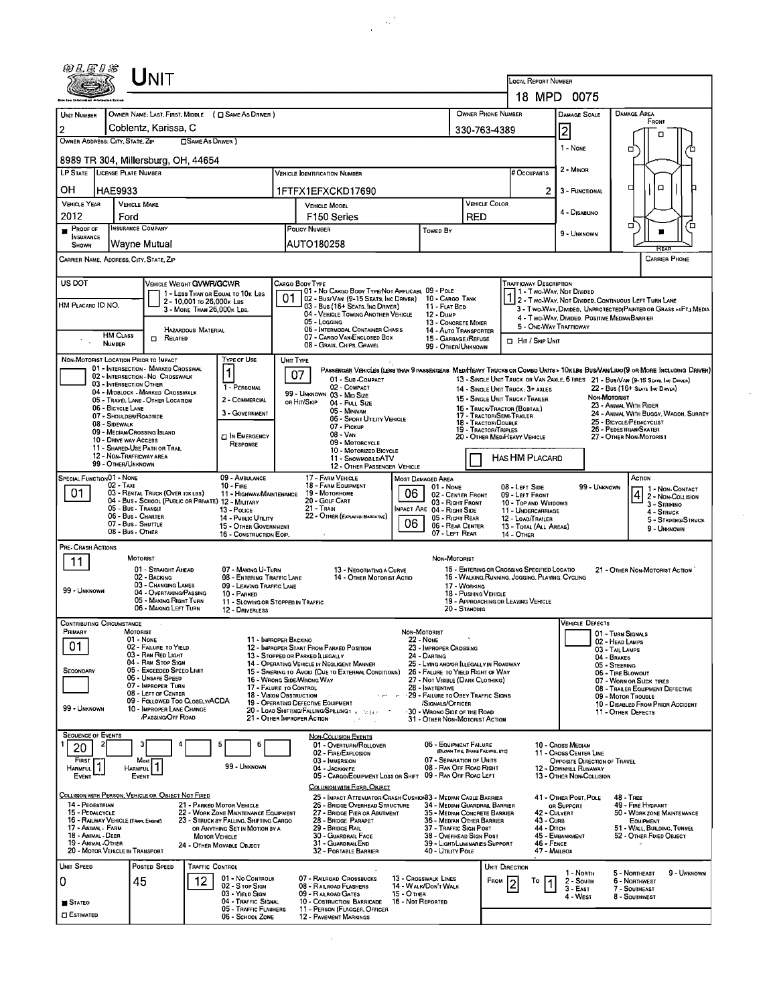| @LEIS                                                                             | UNIT                                                                                    |                              |                                                                          |                                                                                                                                                                                                          |                                                                                                                                                                                |                                                          |                                                               |                                                     |                                                  |                                                                                                                                                                                                                                                      |                                                                         |                                                                                       |                                                              |                                                                  |  |  |  |  |
|-----------------------------------------------------------------------------------|-----------------------------------------------------------------------------------------|------------------------------|--------------------------------------------------------------------------|----------------------------------------------------------------------------------------------------------------------------------------------------------------------------------------------------------|--------------------------------------------------------------------------------------------------------------------------------------------------------------------------------|----------------------------------------------------------|---------------------------------------------------------------|-----------------------------------------------------|--------------------------------------------------|------------------------------------------------------------------------------------------------------------------------------------------------------------------------------------------------------------------------------------------------------|-------------------------------------------------------------------------|---------------------------------------------------------------------------------------|--------------------------------------------------------------|------------------------------------------------------------------|--|--|--|--|
|                                                                                   |                                                                                         |                              | LOCAL REPORT NUMBER<br>18 MPD 0075                                       |                                                                                                                                                                                                          |                                                                                                                                                                                |                                                          |                                                               |                                                     |                                                  |                                                                                                                                                                                                                                                      |                                                                         |                                                                                       |                                                              |                                                                  |  |  |  |  |
|                                                                                   |                                                                                         |                              |                                                                          |                                                                                                                                                                                                          |                                                                                                                                                                                |                                                          |                                                               |                                                     |                                                  |                                                                                                                                                                                                                                                      |                                                                         |                                                                                       |                                                              |                                                                  |  |  |  |  |
| UNIT NUMBER                                                                       | OWNER NAME: LAST, FIRST, MIDDLE ( C SAME AS DRIVER )<br>Coblentz, Karissa, C            |                              |                                                                          |                                                                                                                                                                                                          |                                                                                                                                                                                |                                                          |                                                               |                                                     | OWNER PHONE NUMBER                               |                                                                                                                                                                                                                                                      | <b>DAMAGE SCALE</b>                                                     |                                                                                       | <b>DAMAGE AREA</b><br>FRONT                                  |                                                                  |  |  |  |  |
| 2<br>OWNER ADDRESS: CITY, STATE, ZIP                                              |                                                                                         | □SAME AS DRIVER)             |                                                                          |                                                                                                                                                                                                          |                                                                                                                                                                                |                                                          |                                                               |                                                     | 330-763-4389                                     |                                                                                                                                                                                                                                                      | $\overline{2}$                                                          |                                                                                       |                                                              |                                                                  |  |  |  |  |
|                                                                                   | 8989 TR 304, Millersburg, OH, 44654                                                     |                              |                                                                          |                                                                                                                                                                                                          |                                                                                                                                                                                |                                                          |                                                               |                                                     |                                                  |                                                                                                                                                                                                                                                      | 1 - None                                                                |                                                                                       | □                                                            |                                                                  |  |  |  |  |
| LP STATE LICENSE PLATE NUMBER                                                     |                                                                                         |                              |                                                                          |                                                                                                                                                                                                          | <b>VEHICLE IDENTIFICATION NUMBER</b>                                                                                                                                           |                                                          |                                                               |                                                     |                                                  | # Occupants                                                                                                                                                                                                                                          | 2 - MINOR                                                               |                                                                                       |                                                              |                                                                  |  |  |  |  |
| OН<br>HAE9933                                                                     |                                                                                         |                              |                                                                          |                                                                                                                                                                                                          | 1FTFX1EFXCKD17690                                                                                                                                                              |                                                          |                                                               |                                                     |                                                  | $\overline{2}$                                                                                                                                                                                                                                       | 3 - FUNCTIONAL                                                          |                                                                                       | $\Box$<br>□                                                  |                                                                  |  |  |  |  |
| <b>VEHICLE YEAR</b>                                                               | <b>VEHICLE MAKE</b>                                                                     |                              |                                                                          | <b>VEHICLE MODEL</b>                                                                                                                                                                                     |                                                                                                                                                                                |                                                          | VEHICLE COLOR                                                 |                                                     |                                                  |                                                                                                                                                                                                                                                      |                                                                         |                                                                                       |                                                              |                                                                  |  |  |  |  |
| 2012                                                                              | Ford                                                                                    |                              |                                                                          |                                                                                                                                                                                                          | F <sub>150</sub> Series                                                                                                                                                        |                                                          |                                                               |                                                     | RED                                              |                                                                                                                                                                                                                                                      | 4 - Disablino                                                           |                                                                                       | о                                                            | ′o                                                               |  |  |  |  |
| <b>INSURANCE COMPANY</b><br>Proof of<br><b>INSURANCE</b><br>Wayne Mutual<br>SHOWN |                                                                                         |                              |                                                                          |                                                                                                                                                                                                          | <b>POLICY NUMBER</b><br>Toweb By<br>AUTO180258                                                                                                                                 |                                                          |                                                               |                                                     |                                                  |                                                                                                                                                                                                                                                      | 9 - UNKNOWN                                                             |                                                                                       |                                                              |                                                                  |  |  |  |  |
| CARRIER NAME, ADDRESS, CITY, STATE, ZIP                                           |                                                                                         |                              |                                                                          |                                                                                                                                                                                                          |                                                                                                                                                                                |                                                          |                                                               |                                                     |                                                  |                                                                                                                                                                                                                                                      |                                                                         |                                                                                       |                                                              | <b>CARRIER PHONE</b>                                             |  |  |  |  |
| US DOT                                                                            | VEHICLE WEIGHT GVWR/GCWR                                                                |                              |                                                                          | CARGO BODY TYPE                                                                                                                                                                                          |                                                                                                                                                                                |                                                          |                                                               |                                                     |                                                  | <b>TRAFFICWAY DESCRIPTION</b>                                                                                                                                                                                                                        |                                                                         |                                                                                       |                                                              |                                                                  |  |  |  |  |
|                                                                                   |                                                                                         | 2 - 10,001 To 26,000K LBS    | 1 - LESS THAN OR EQUAL TO 10K LBS                                        | 01                                                                                                                                                                                                       | 01 - No CARGO BODY TYPE/NOT APPLICABL 09 - POLE<br>02 - Bus/Van (9-15 Seats, Inc Driver)                                                                                       |                                                          | 10 - CARGO TANK                                               |                                                     |                                                  | 1 - Two Way, Not Divided<br>1 1 - Two-Way, Not Livided<br>1 2 - Two-Way, Not Divided, Continuous Left Turn Lane                                                                                                                                      |                                                                         |                                                                                       |                                                              |                                                                  |  |  |  |  |
| HM Placard 1D NO.                                                                 |                                                                                         | 3 - MORE THAN 26,000K LBS.   |                                                                          | 03 - Bus (16+ SEATS, INC DRIVER)<br>04 - VEHICLE TOWING ANOTHER VEHICLE                                                                                                                                  |                                                                                                                                                                                |                                                          |                                                               | 11 - FLAT BED<br>12 - Dump                          |                                                  |                                                                                                                                                                                                                                                      |                                                                         |                                                                                       |                                                              | 3 - Two-Way, Divided. UNPROTECTED (PAINTED OR GRASS >4FT.) MEDIA |  |  |  |  |
| <b>HM CLASS</b>                                                                   |                                                                                         | HAZARDOUS MATERIAL           |                                                                          |                                                                                                                                                                                                          | 05 - Logging<br>06 - INTERMODAL CONTAINER CHASIS<br>07 - CARGO VAN/ENCLOSED BOX                                                                                                |                                                          | 13 - CONCRETE MIXER<br>14 - Auto Transporter                  |                                                     |                                                  |                                                                                                                                                                                                                                                      | 4 - Two-Way, Divided, Positive Median Barrier<br>5 - ONE WAY TRAFFICWAY |                                                                                       |                                                              |                                                                  |  |  |  |  |
| NUMBER                                                                            | $\Box$ Related                                                                          |                              |                                                                          |                                                                                                                                                                                                          | 08 - Grain, Chips, Gravel                                                                                                                                                      | 15 - GARBAGE / REFUSE<br>99 - OTHER/UNKNOWN              |                                                               |                                                     | HIT / SKIP UNIT                                  |                                                                                                                                                                                                                                                      |                                                                         |                                                                                       |                                                              |                                                                  |  |  |  |  |
| NON-MOTORIST LOCATION PRIOR TO IMPACT                                             | 01 - INTERSECTION - MARKED CROSSWAL                                                     |                              | TYPE OF USE                                                              | UNIT TYPE                                                                                                                                                                                                |                                                                                                                                                                                |                                                          |                                                               |                                                     |                                                  |                                                                                                                                                                                                                                                      |                                                                         |                                                                                       |                                                              |                                                                  |  |  |  |  |
|                                                                                   | 02 - INTERSECTION - NO CROSSWALK<br>03 - INTERSECTION OTHER                             |                              | 1<br>1 - PERSONAL                                                        | 07                                                                                                                                                                                                       | 01 - Sub-COMPACT<br>02 - COMPACT                                                                                                                                               |                                                          |                                                               |                                                     |                                                  | PASSENGER VEHICLES (LESS THAN 9 PASSENGERS MEDIHEAVY TRUCKS OR COMBO UNITS > 10KLBS BUS/VANLIMO(9 OR MORE INCLUDING DRIVER)<br>13 - SINGLE UNIT TRUCK OR VAN 2AXLE, 6 TIRES 21 - BUS/VAN (9-15 SEATS, INC DRIVER)<br>22 - Bus (16+ Sears Inc Draver) |                                                                         |                                                                                       |                                                              |                                                                  |  |  |  |  |
|                                                                                   | 04 - MIDBLOCK - MARKED CROSSWALK<br>05 - TRAVEL LANE - OTHER LOCATION                   |                              | 2 - COMMERCIAL                                                           | OR HIT/SKIP                                                                                                                                                                                              | 99 - Unknown 03 - Mid Size<br>04 - FULL SIZE                                                                                                                                   |                                                          |                                                               |                                                     |                                                  | 14 - SINGLE UNIT TRUCK: 3+ AXLES<br>15 - SINGLE UNIT TRUCK / TRAILER                                                                                                                                                                                 |                                                                         | Non-Motorist                                                                          |                                                              |                                                                  |  |  |  |  |
| 06 - BICYCLE LANE                                                                 | 07 - Shoulder/Roadside                                                                  |                              | 3 - GOVERNMENT                                                           |                                                                                                                                                                                                          | 05 - MINIVAN<br>06 - Sport Utility Vehicle                                                                                                                                     |                                                          | 17 - TRACTOR/SEMI-TRAILER<br>18 - TRACTOR/DOUBLE              | 16 - TRUCK/TRACTOR (BOBTAIL)                        |                                                  |                                                                                                                                                                                                                                                      | 23 - ANIMAL WITH RIDER<br>25 - BICYCLE/PEDACYCLIST                      | 24 - ANIMAL WITH BUGGY, WAGON, SURREY                                                 |                                                              |                                                                  |  |  |  |  |
| 08 - SIDEWALK                                                                     | 09 - MEDIAN/CROSSING ISLAND                                                             |                              | <b>TI IN EMERGENCY</b>                                                   | 07 - Pickup<br>08 - VAN                                                                                                                                                                                  |                                                                                                                                                                                |                                                          |                                                               |                                                     |                                                  | <b>19 - TRACTOR/TRIPLES</b><br>20 - OTHER MED/HEAVY VEHICLE                                                                                                                                                                                          |                                                                         |                                                                                       | 26 - PEDESTRIAN/SKATER<br>27 - OTHER NON-MOTORIST            |                                                                  |  |  |  |  |
|                                                                                   | 10 - DRIVE WAY ACCESS<br>11 - Shared-Use Path or Trail                                  |                              | RESPONSE                                                                 |                                                                                                                                                                                                          | 09 - MOTORCYCLE<br>10 - MOTORIZED BICYCLE                                                                                                                                      |                                                          |                                                               |                                                     |                                                  |                                                                                                                                                                                                                                                      |                                                                         |                                                                                       |                                                              |                                                                  |  |  |  |  |
|                                                                                   | 12 - NDN TRAFFICWAY AREA<br>99 - OTHER/UNKNOWN                                          |                              |                                                                          |                                                                                                                                                                                                          | 11 - SNOWMOBILE/ATV<br>12 - OTHER PASSENGER VEHICLE                                                                                                                            |                                                          |                                                               |                                                     |                                                  | HAS HM PLACARD                                                                                                                                                                                                                                       |                                                                         |                                                                                       |                                                              |                                                                  |  |  |  |  |
| SPECIAL FUNCTION 01 - NONE                                                        | $02 - Tax$                                                                              |                              | 09 - AMBULANCE<br>$10 -$ Fire                                            |                                                                                                                                                                                                          | 17 - FARM VEHICLE<br>18 - FARM EQUIPMENT<br>19 - Мотокноме                                                                                                                     | <b>MOST DAMAGED AREA</b><br>06                           | 01 - None                                                     |                                                     |                                                  | 08 - LEFT SIDE                                                                                                                                                                                                                                       |                                                                         | 99 - UNKNOWN                                                                          | Астюм                                                        | 1 - NON-CONTACT                                                  |  |  |  |  |
| 01                                                                                | 03 - RENTAL TRUCK (OVER 10K LBS)<br>04 - Bus - School (PUBLIC OR PRIVATE) 12 - MILITARY |                              | 11 - HIGHWAY/MAINTENANCE                                                 | 02 - CENTER FRONT<br>03 - RIGHT FRONT                                                                                                                                                                    |                                                                                                                                                                                |                                                          | 09 - LEFT FRONT<br>10 - TOP AND WINDOWS                       |                                                     |                                                  | $\vert 4$                                                                                                                                                                                                                                            | 2 - Non-Collision<br>3 - Strikino                                       |                                                                                       |                                                              |                                                                  |  |  |  |  |
|                                                                                   | 05 - Bus Transit<br>06 - Bus - Charter                                                  |                              | 13 - Pouce<br>14 - PUBLIC UTILITY                                        | 21 - TRAIN<br>IMPACT ARE 04 - RIGHT SIDE<br>22 - OTHER (EXPLAIN NARRATNE)<br>05 - RIGHT REAR<br>06                                                                                                       |                                                                                                                                                                                |                                                          |                                                               |                                                     |                                                  | 11 - UNDERCARRIAGE<br>12 - LOAD/TRAILER                                                                                                                                                                                                              |                                                                         |                                                                                       |                                                              | 4 - STRUCK<br>5 - STRIKING/STRUCK                                |  |  |  |  |
|                                                                                   | 07 - Bus - SHUTTLE<br>08 - Bus - OTHER                                                  |                              | 15 - OTHER GOVERNMENT<br>16 - CONSTRUCTION EOIP.                         | 07 - LEFT REAR                                                                                                                                                                                           |                                                                                                                                                                                |                                                          |                                                               | 06 - REAR CENTER                                    |                                                  | 13 - TOTAL (ALL AREAS)<br>14 - OTHER                                                                                                                                                                                                                 |                                                                         |                                                                                       | 9 - UNKNOWN                                                  |                                                                  |  |  |  |  |
| PRE-CRASH ACTIONS                                                                 | MOTORIST                                                                                |                              |                                                                          |                                                                                                                                                                                                          |                                                                                                                                                                                |                                                          | NON-MOTORIST                                                  |                                                     |                                                  |                                                                                                                                                                                                                                                      |                                                                         |                                                                                       |                                                              |                                                                  |  |  |  |  |
| 11                                                                                | 01 - STRAIGHT AHEAD                                                                     |                              | 07 - MAKING U-TURN                                                       |                                                                                                                                                                                                          | 13 - NEGOTIATING A CURVE                                                                                                                                                       |                                                          |                                                               |                                                     |                                                  | 15 - ENTERING OR CROSSING SPECIFIED LOCATIO<br>21 - OTHER NON-MOTORIST ACTION                                                                                                                                                                        |                                                                         |                                                                                       |                                                              |                                                                  |  |  |  |  |
| 99 - UNKNOWN                                                                      | 02 - BACKING<br>03 - Changing LANES<br>04 - Overtaking/Passing                          |                              | 08 - ENTERING TRAFFIC LANE<br>09 - LEAVING TRAFFIC LANE                  |                                                                                                                                                                                                          | 14 - OTHER MOTORIST ACTIO                                                                                                                                                      |                                                          | 17 - WORKING                                                  |                                                     | 16 - WALKING, RUNNING, JOGGING, PLAYING, CYCLING |                                                                                                                                                                                                                                                      |                                                                         |                                                                                       |                                                              |                                                                  |  |  |  |  |
|                                                                                   | 05 - MAKING RIGHT TURN<br>06 - MAKING LEFT TURN                                         |                              | 10 - PARKED<br>11 - Slowing or Stopped in Traffic<br>12 - DRIVERLESS     |                                                                                                                                                                                                          | 18 - Pushing Vehicle<br>20 - Standing                                                                                                                                          |                                                          | 19 - APPROACHING OR LEAVING VEHICLE                           |                                                     |                                                  |                                                                                                                                                                                                                                                      |                                                                         |                                                                                       |                                                              |                                                                  |  |  |  |  |
| CONTRIBUTING CIRCUMSTANCE                                                         |                                                                                         |                              |                                                                          |                                                                                                                                                                                                          |                                                                                                                                                                                |                                                          |                                                               |                                                     |                                                  |                                                                                                                                                                                                                                                      | <b>VEHICLE DEFECTS</b>                                                  |                                                                                       |                                                              |                                                                  |  |  |  |  |
| <b>MRIMARY</b>                                                                    | MOTORIST<br>01 - None                                                                   |                              |                                                                          | 11 - IMPROPER BACKINO                                                                                                                                                                                    |                                                                                                                                                                                | NON-MOTORIST<br>22 - NONE                                | 23 - IMPROPER CROSSING                                        |                                                     |                                                  |                                                                                                                                                                                                                                                      |                                                                         | 01 - TURN SIGNALS<br>02 - HEAD LAMPS                                                  |                                                              |                                                                  |  |  |  |  |
| 01                                                                                | 02 - FAILURE TO YIELD<br>03 - RAN RED LIGHT                                             |                              |                                                                          |                                                                                                                                                                                                          | 12 - IMPROPER START FROM PARKED POSITION<br>13 - Stopped or Parked LLEGALLY                                                                                                    |                                                          |                                                               |                                                     | 04 - Brakes                                      | 03 - Tail Lamps                                                                                                                                                                                                                                      |                                                                         |                                                                                       |                                                              |                                                                  |  |  |  |  |
| SECONDARY                                                                         | 04 - RAN STOP SIGN<br>05 - Exceeped Speeo Limit<br>06 - Unsafe Speed                    |                              |                                                                          |                                                                                                                                                                                                          | 14 - OPERATING VEHICLE IN NEGLIGENT MANNER<br>25 - LYING AND/OR LLEGALLY IN ROADWAY<br>15 - Swering to Avoid (Due to External Conditions)<br>26 - FALURE TO YIELD RIGHT OF WAY |                                                          |                                                               |                                                     |                                                  |                                                                                                                                                                                                                                                      |                                                                         |                                                                                       | 05 - STEERING<br>06 - TIRE BLOWOUT                           |                                                                  |  |  |  |  |
|                                                                                   | 07 - IMPROPER TURN<br>08 - LEFT OF CENTER                                               |                              |                                                                          | 16 - WRONG SIDE/WRONG WAY<br>27 - NOT VISIBLE (DARK CLOTHING)<br>17 - FALURE TO CONTROL<br>28 - INATTENTIVE                                                                                              |                                                                                                                                                                                |                                                          |                                                               |                                                     |                                                  |                                                                                                                                                                                                                                                      |                                                                         |                                                                                       | 07 - WORN OR SLICK TIRES<br>08 - TRAILER EQUIPMENT DEFECTIVE |                                                                  |  |  |  |  |
| 99 - UNKNOWN                                                                      | 09 - FOLLOWED TOO CLOSELY/ACDA<br>10 - IMPROPER LANE CHANGE                             |                              |                                                                          | 18 - VISION OBSTRUCTION<br>29 - FAILURE TO OBEY TRAFFIC SIGNS<br>19 - OPERATING DEFECTIVE EQUIPMENT<br>/SIGNALS/OFFICER<br>20 - LOAD SHIFTING/FALLING/SPILLING: With the<br>30 - WRONO SIDE OF THE ROAD  |                                                                                                                                                                                |                                                          |                                                               |                                                     |                                                  |                                                                                                                                                                                                                                                      |                                                                         | 09 - MOTOR TROUBLE<br>10 - DISABLED FROM PRIOR ACCIDENT<br>11 - OTHER DEFECTS         |                                                              |                                                                  |  |  |  |  |
|                                                                                   | /PASSING OFF ROAD                                                                       |                              |                                                                          | 21 - OTHER IMPROPER ACTION                                                                                                                                                                               |                                                                                                                                                                                |                                                          | 31 - OTHER NON-MOTORIST ACTION                                |                                                     |                                                  |                                                                                                                                                                                                                                                      |                                                                         |                                                                                       |                                                              |                                                                  |  |  |  |  |
| <b>SEQUENCE OF EVENTS</b>                                                         |                                                                                         | 5                            | 6                                                                        |                                                                                                                                                                                                          | <b>NON-COLLISION EVENTS</b><br>01 - Overturn/Rollover                                                                                                                          |                                                          | 06 - EQUIPMENT FAILURE                                        |                                                     |                                                  |                                                                                                                                                                                                                                                      | 10 - Cross Median                                                       |                                                                                       |                                                              |                                                                  |  |  |  |  |
| 20<br>FIRST                                                                       | Most                                                                                    |                              |                                                                          |                                                                                                                                                                                                          | 02 - FIRE/EXPLOSION<br>03 - IMMERSION                                                                                                                                          |                                                          | 07 - SEPARATION OF UNITS                                      | (BLOWN TIRE, BRAKE FAILURE, ETC)                    |                                                  |                                                                                                                                                                                                                                                      | 11 - Cross CENTER LINE<br>OPPOSITE DIRECTION OF TRAVEL                  |                                                                                       |                                                              |                                                                  |  |  |  |  |
| Harmful<br>EVENT                                                                  | <b>HARMFUL</b><br>EVENT                                                                 |                              | 99 - UNKNOWN                                                             |                                                                                                                                                                                                          | 04 - JACKKNIFE<br>05 - CARGO/EQUIPMENT LOSS OR SHIFT                                                                                                                           |                                                          | 08 - RAN OFF ROAD RIGHT<br>09 - RAN OFF ROAD LEFT             |                                                     |                                                  |                                                                                                                                                                                                                                                      | 12 - DOWNHILL RUNAWAY<br>13 - OTHER NON-COLLISION                       |                                                                                       |                                                              |                                                                  |  |  |  |  |
|                                                                                   | COLLISION WITH PERSON, VEHICLE OR OBJECT NOT FIXED                                      |                              |                                                                          |                                                                                                                                                                                                          | COLLISION WITH FIXED, OBJECT                                                                                                                                                   |                                                          |                                                               |                                                     |                                                  |                                                                                                                                                                                                                                                      |                                                                         |                                                                                       |                                                              |                                                                  |  |  |  |  |
| 14 - PEOESTRIAN<br>15 - PEDALCYCLE                                                |                                                                                         |                              | 21 - PARKED MOTOR VEHICLE<br>22 - WORK ZONE MAINTENANCE EQUIPMENT        |                                                                                                                                                                                                          | 25 - IMPACT ATTENUATOR/CRASH CUSHION33 - MEDIAN CABLE BARRIER<br>26 - BRIDGE OVERHEAD STRUCTURE                                                                                |                                                          | 34 - Median Guardrail Barrier<br>35 - MEDIAN CONCRETE BARRIER |                                                     |                                                  | 42 - CULVERT                                                                                                                                                                                                                                         | OR SUPPORT                                                              | 41 - OTHER POST, POLE<br>48 - TREE<br>49 - FIRE HYDRANT<br>50 - WORK ZONE MAINTENANCE |                                                              |                                                                  |  |  |  |  |
| 16 - RAILWAY VEHICLE (TRAPP, ENGINE)<br>17 - Animal - Farm                        |                                                                                         |                              | 23 - STRUCK BY FALLING, SHIFTING CARGO<br>OR ANYTHING SET IN MOTION BY A | 27 - BRIDGE PIER OR ABUTMENT<br>28 - BRIDGE PARAPET<br>29 - Bridge Rail                                                                                                                                  |                                                                                                                                                                                |                                                          |                                                               | 36 - MEDIAN OTHER BARRIER<br>37 - TRAFFIC SIGN POST |                                                  | 43 - CURB<br>44 - Опсн                                                                                                                                                                                                                               |                                                                         |                                                                                       | <b>EQUIPMENT</b><br>51 - WALL, BUILDING, TUNNEL              |                                                                  |  |  |  |  |
| 18 - Animal - Deer<br>19 - Animal -Other                                          |                                                                                         | <b>MOTOR VEHICLE</b>         | 24 - OTHER MOVABLE OBJECT                                                |                                                                                                                                                                                                          | 30 - GUARDRAIL FACE<br>31 - GUARDRAILEND                                                                                                                                       | 38 - OVERHEAD SIGN POST<br>39 - LIGHT/LUMINARIES SUPPORT |                                                               |                                                     |                                                  | 45 - EMBANKMENT<br><b>46 - FENCE</b>                                                                                                                                                                                                                 |                                                                         | 52 - OTHER FIXED OBJECT                                                               |                                                              |                                                                  |  |  |  |  |
| 20 - MOTOR VEHICLE IN TRANSPORT                                                   |                                                                                         |                              |                                                                          |                                                                                                                                                                                                          | 32 - PORTABLE BARRIER                                                                                                                                                          |                                                          | 40 - UTILITY POLE                                             |                                                     |                                                  | 47 - MAILBOX                                                                                                                                                                                                                                         |                                                                         |                                                                                       |                                                              |                                                                  |  |  |  |  |
| Unit Speed<br>0                                                                   | POSTED SPEED<br>45                                                                      | <b>TRAFFIC CONTROL</b><br>12 | 01 - No CONTROLS                                                         |                                                                                                                                                                                                          | 07 - RAILROAD CROSSBUCKS                                                                                                                                                       | 13 - Crosswalk LINES                                     |                                                               |                                                     | UNIT DIRECTION<br>FROM                           | То                                                                                                                                                                                                                                                   | 1 - North<br>2 - South                                                  |                                                                                       | 5 - NORTHEAST<br>6 - NORTHWEST                               | 9 - UNKNOWN                                                      |  |  |  |  |
|                                                                                   |                                                                                         |                              | 02 - S top Sign<br>03 - Yield Sign                                       | 08 - RAILROAD FLASHERS<br>14 - WALK/DON'T WALK<br>09 - RAILROAD GATES<br>15 - Отнея<br>10 - COSTRUCTION BARRICADE<br>16 - Not Reported<br>11 - PERSON (FLAGGER, OFFICER<br><b>12 - PAVEMENT MARKINGS</b> |                                                                                                                                                                                |                                                          |                                                               |                                                     |                                                  |                                                                                                                                                                                                                                                      | $3 - E$ AST<br>4 - West                                                 |                                                                                       | 7 - SOUTHEAST<br>8 - SOUTHWEST                               |                                                                  |  |  |  |  |
| <b>STATEO</b><br><b>ESTIMATED</b>                                                 |                                                                                         |                              | 04 - TRAFFIC SIGNAL<br>05 - TRAFFIC FLASHERS<br>06 - SCHOOL ZONE         |                                                                                                                                                                                                          |                                                                                                                                                                                |                                                          |                                                               |                                                     |                                                  |                                                                                                                                                                                                                                                      |                                                                         |                                                                                       |                                                              |                                                                  |  |  |  |  |
|                                                                                   |                                                                                         |                              |                                                                          |                                                                                                                                                                                                          |                                                                                                                                                                                |                                                          |                                                               |                                                     |                                                  |                                                                                                                                                                                                                                                      |                                                                         |                                                                                       |                                                              |                                                                  |  |  |  |  |

 $\sim 10^{11}$